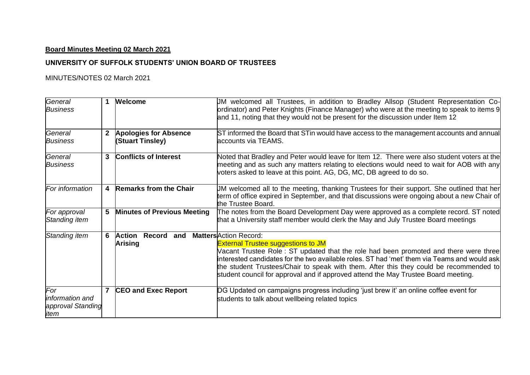## **Board Minutes Meeting 02 March 2021**

## **UNIVERSITY OF SUFFOLK STUDENTS' UNION BOARD OF TRUSTEES**

## MINUTES/NOTES 02 March 2021

| General<br><b>Business</b>                                 | 1               | <b>Welcome</b>                                   | UM welcomed all Trustees, in addition to Bradley Allsop (Student Representation Co-<br>ordinator) and Peter Knights (Finance Manager) who were at the meeting to speak to items 9<br>and 11, noting that they would not be present for the discussion under Item 12                                                                                                                                                                                |
|------------------------------------------------------------|-----------------|--------------------------------------------------|----------------------------------------------------------------------------------------------------------------------------------------------------------------------------------------------------------------------------------------------------------------------------------------------------------------------------------------------------------------------------------------------------------------------------------------------------|
| General<br><b>Business</b>                                 | $\mathbf{2}$    | <b>Apologies for Absence</b><br>(Stuart Tinsley) | ST informed the Board that STin would have access to the management accounts and annual<br>accounts via TEAMS.                                                                                                                                                                                                                                                                                                                                     |
| General<br><b>Business</b>                                 | 3               | <b>Conflicts of Interest</b>                     | Noted that Bradley and Peter would leave for Item 12. There were also student voters at the<br>meeting and as such any matters relating to elections would need to wait for AOB with any<br>voters asked to leave at this point. AG, DG, MC, DB agreed to do so.                                                                                                                                                                                   |
| For information                                            | 4               | <b>Remarks from the Chair</b>                    | JM welcomed all to the meeting, thanking Trustees for their support. She outlined that her<br>term of office expired in September, and that discussions were ongoing about a new Chair of<br>the Trustee Board.                                                                                                                                                                                                                                    |
| For approval<br>Standing item                              | $5\phantom{.0}$ | <b>Minutes of Previous Meeting</b>               | The notes from the Board Development Day were approved as a complete record. ST noted<br>that a University staff member would clerk the May and July Trustee Board meetings                                                                                                                                                                                                                                                                        |
| Standing item                                              | 6               | <b>Action Record</b><br>and<br>Arising           | <b>Matters</b> Action Record:<br><b>External Trustee suggestions to JM</b><br>Vacant Trustee Role: ST updated that the role had been promoted and there were three<br>interested candidates for the two available roles. ST had 'met' them via Teams and would ask<br>the student Trustees/Chair to speak with them. After this they could be recommended to<br>student council for approval and if approved attend the May Trustee Board meeting. |
| For<br><i>information and</i><br>approval Standing<br>item | $\overline{7}$  | <b>CEO and Exec Report</b>                       | DG Updated on campaigns progress including 'just brew it' an online coffee event for<br>students to talk about wellbeing related topics                                                                                                                                                                                                                                                                                                            |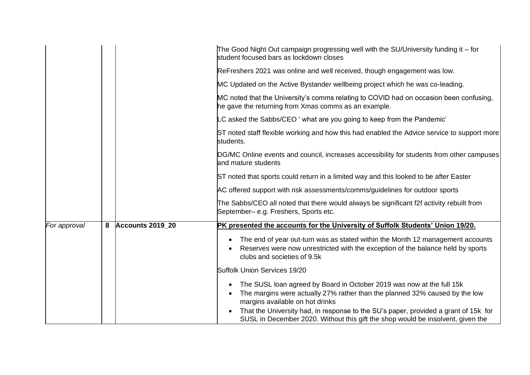|              |   |                  | The Good Night Out campaign progressing well with the SU/University funding it – for<br>student focused bars as lockdown closes                                                                                                                                                                                                                                   |
|--------------|---|------------------|-------------------------------------------------------------------------------------------------------------------------------------------------------------------------------------------------------------------------------------------------------------------------------------------------------------------------------------------------------------------|
|              |   |                  | ReFreshers 2021 was online and well received, though engagement was low.                                                                                                                                                                                                                                                                                          |
|              |   |                  | MC Updated on the Active Bystander wellbeing project which he was co-leading.                                                                                                                                                                                                                                                                                     |
|              |   |                  | MC noted that the University's comms relating to COVID had on occasion been confusing,<br>he gave the returning from Xmas comms as an example.                                                                                                                                                                                                                    |
|              |   |                  | LC asked the Sabbs/CEO ' what are you going to keep from the Pandemic'                                                                                                                                                                                                                                                                                            |
|              |   |                  | ST noted staff flexible working and how this had enabled the Advice service to support more<br>students.                                                                                                                                                                                                                                                          |
|              |   |                  | DG/MC Online events and council, increases accessibility for students from other campuses<br>and mature students                                                                                                                                                                                                                                                  |
|              |   |                  | ST noted that sports could return in a limited way and this looked to be after Easter                                                                                                                                                                                                                                                                             |
|              |   |                  | AC offered support with risk assessments/comms/guidelines for outdoor sports                                                                                                                                                                                                                                                                                      |
|              |   |                  | The Sabbs/CEO all noted that there would always be significant f2f activity rebuilt from<br>September- e.g. Freshers, Sports etc.                                                                                                                                                                                                                                 |
| For approval | 8 | Accounts 2019 20 | PK presented the accounts for the University of Suffolk Students' Union 19/20.                                                                                                                                                                                                                                                                                    |
|              |   |                  | The end of year out-turn was as stated within the Month 12 management accounts<br>Reserves were now unrestricted with the exception of the balance held by sports<br>clubs and societies of 9.5k                                                                                                                                                                  |
|              |   |                  | Suffolk Union Services 19/20                                                                                                                                                                                                                                                                                                                                      |
|              |   |                  | The SUSL loan agreed by Board in October 2019 was now at the full 15k<br>The margins were actually 27% rather than the planned 32% caused by the low<br>margins available on hot drinks<br>That the University had, in response to the SU's paper, provided a grant of 15k for<br>SUSL in December 2020. Without this gift the shop would be insolvent, given the |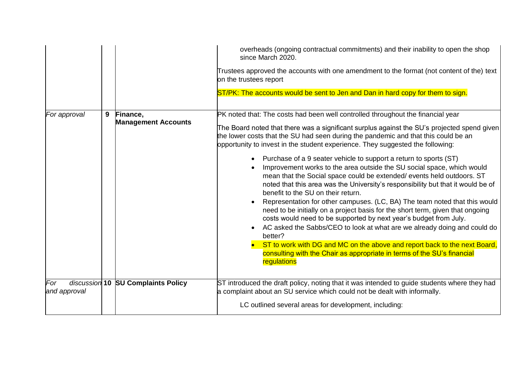|                     |   |                                        | overheads (ongoing contractual commitments) and their inability to open the shop<br>since March 2020.<br>Trustees approved the accounts with one amendment to the format (not content of the) text<br>on the trustees report<br>ST/PK: The accounts would be sent to Jen and Dan in hard copy for them to sign.                                                                                                                                                                                                                                                                                                                                                                                                                                                                                                                                                                                                                                                                                                                                                                                                                                                                                              |
|---------------------|---|----------------------------------------|--------------------------------------------------------------------------------------------------------------------------------------------------------------------------------------------------------------------------------------------------------------------------------------------------------------------------------------------------------------------------------------------------------------------------------------------------------------------------------------------------------------------------------------------------------------------------------------------------------------------------------------------------------------------------------------------------------------------------------------------------------------------------------------------------------------------------------------------------------------------------------------------------------------------------------------------------------------------------------------------------------------------------------------------------------------------------------------------------------------------------------------------------------------------------------------------------------------|
| For approval        | 9 | Finance,<br><b>Management Accounts</b> | PK noted that: The costs had been well controlled throughout the financial year<br>The Board noted that there was a significant surplus against the SU's projected spend given<br>the lower costs that the SU had seen during the pandemic and that this could be an<br>opportunity to invest in the student experience. They suggested the following:<br>Purchase of a 9 seater vehicle to support a return to sports (ST)<br>Improvement works to the area outside the SU social space, which would<br>mean that the Social space could be extended/ events held outdoors. ST<br>noted that this area was the University's responsibility but that it would be of<br>benefit to the SU on their return.<br>Representation for other campuses. (LC, BA) The team noted that this would<br>need to be initially on a project basis for the short term, given that ongoing<br>costs would need to be supported by next year's budget from July.<br>AC asked the Sabbs/CEO to look at what are we already doing and could do<br>better?<br>ST to work with DG and MC on the above and report back to the next Board,<br>consulting with the Chair as appropriate in terms of the SU's financial<br>regulations |
| For<br>and approval |   | discussion 10 SU Complaints Policy     | ST introduced the draft policy, noting that it was intended to guide students where they had<br>a complaint about an SU service which could not be dealt with informally.<br>LC outlined several areas for development, including:                                                                                                                                                                                                                                                                                                                                                                                                                                                                                                                                                                                                                                                                                                                                                                                                                                                                                                                                                                           |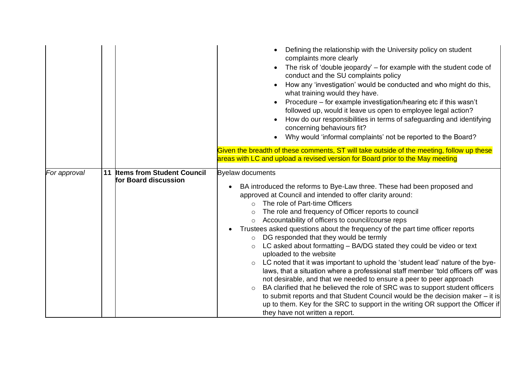|              |    |                                                           | Defining the relationship with the University policy on student<br>complaints more clearly<br>The risk of 'double jeopardy' – for example with the student code of<br>conduct and the SU complaints policy<br>How any 'investigation' would be conducted and who might do this,<br>what training would they have.<br>Procedure – for example investigation/hearing etc if this wasn't<br>followed up, would it leave us open to employee legal action?<br>How do our responsibilities in terms of safeguarding and identifying<br>concerning behaviours fit?<br>Why would 'informal complaints' not be reported to the Board?<br>Given the breadth of these comments, ST will take outside of the meeting, follow up these<br>areas with LC and upload a revised version for Board prior to the May meeting                                                                                                                                                                                                                                                                                                                                          |
|--------------|----|-----------------------------------------------------------|------------------------------------------------------------------------------------------------------------------------------------------------------------------------------------------------------------------------------------------------------------------------------------------------------------------------------------------------------------------------------------------------------------------------------------------------------------------------------------------------------------------------------------------------------------------------------------------------------------------------------------------------------------------------------------------------------------------------------------------------------------------------------------------------------------------------------------------------------------------------------------------------------------------------------------------------------------------------------------------------------------------------------------------------------------------------------------------------------------------------------------------------------|
| For approval | 11 | <b>Items from Student Council</b><br>for Board discussion | <b>Byelaw documents</b><br>BA introduced the reforms to Bye-Law three. These had been proposed and<br>approved at Council and intended to offer clarity around:<br>The role of Part-time Officers<br>$\circ$<br>The role and frequency of Officer reports to council<br>Accountability of officers to council/course reps<br>$\circ$<br>Trustees asked questions about the frequency of the part time officer reports<br>DG responded that they would be termly<br>$\circ$<br>LC asked about formatting - BA/DG stated they could be video or text<br>$\circ$<br>uploaded to the website<br>LC noted that it was important to uphold the 'student lead' nature of the bye-<br>$\circ$<br>laws, that a situation where a professional staff member 'told officers off' was<br>not desirable, and that we needed to ensure a peer to peer approach<br>BA clarified that he believed the role of SRC was to support student officers<br>$\circ$<br>to submit reports and that Student Council would be the decision maker – it is<br>up to them. Key for the SRC to support in the writing OR support the Officer if<br>they have not written a report. |